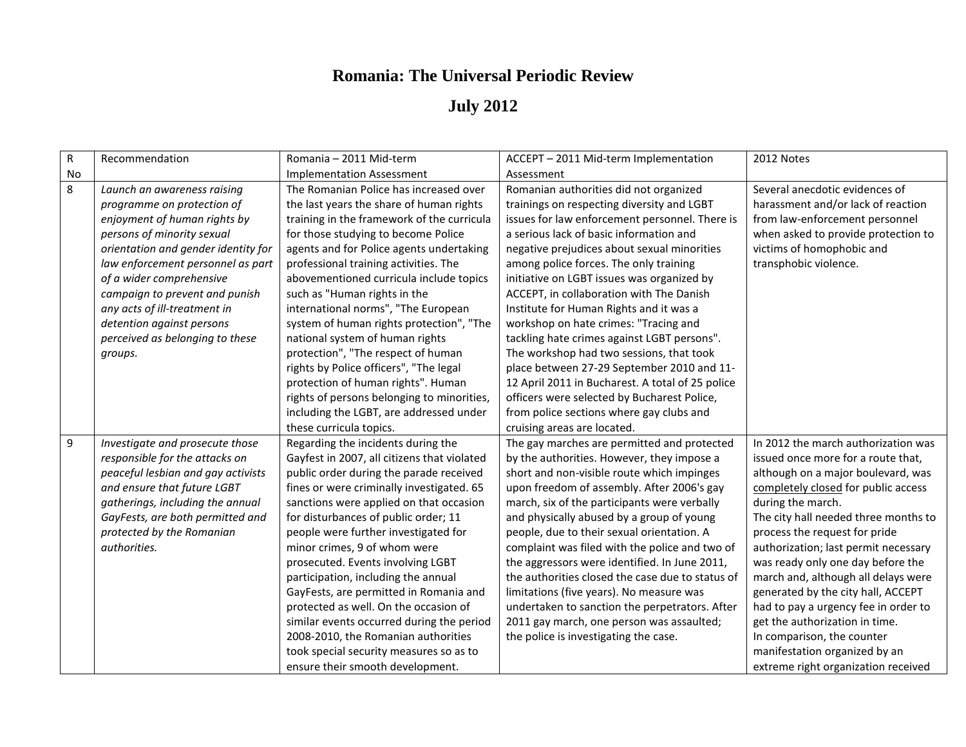## **Romania: The Universal Periodic Review**

## **July 2012**

| R         | Recommendation                      | Romania - 2011 Mid-term                     | ACCEPT - 2011 Mid-term Implementation            | 2012 Notes                           |
|-----------|-------------------------------------|---------------------------------------------|--------------------------------------------------|--------------------------------------|
| <b>No</b> |                                     | <b>Implementation Assessment</b>            | Assessment                                       |                                      |
| 8         | Launch an awareness raising         | The Romanian Police has increased over      | Romanian authorities did not organized           | Several anecdotic evidences of       |
|           | programme on protection of          | the last years the share of human rights    | trainings on respecting diversity and LGBT       | harassment and/or lack of reaction   |
|           | enjoyment of human rights by        | training in the framework of the curricula  | issues for law enforcement personnel. There is   | from law-enforcement personnel       |
|           | persons of minority sexual          | for those studying to become Police         | a serious lack of basic information and          | when asked to provide protection to  |
|           | orientation and gender identity for | agents and for Police agents undertaking    | negative prejudices about sexual minorities      | victims of homophobic and            |
|           | law enforcement personnel as part   | professional training activities. The       | among police forces. The only training           | transphobic violence.                |
|           | of a wider comprehensive            | abovementioned curricula include topics     | initiative on LGBT issues was organized by       |                                      |
|           | campaign to prevent and punish      | such as "Human rights in the                | ACCEPT, in collaboration with The Danish         |                                      |
|           | any acts of ill-treatment in        | international norms", "The European         | Institute for Human Rights and it was a          |                                      |
|           | detention against persons           | system of human rights protection", "The    | workshop on hate crimes: "Tracing and            |                                      |
|           | perceived as belonging to these     | national system of human rights             | tackling hate crimes against LGBT persons".      |                                      |
|           | groups.                             | protection", "The respect of human          | The workshop had two sessions, that took         |                                      |
|           |                                     | rights by Police officers", "The legal      | place between 27-29 September 2010 and 11-       |                                      |
|           |                                     | protection of human rights". Human          | 12 April 2011 in Bucharest. A total of 25 police |                                      |
|           |                                     | rights of persons belonging to minorities,  | officers were selected by Bucharest Police,      |                                      |
|           |                                     | including the LGBT, are addressed under     | from police sections where gay clubs and         |                                      |
|           |                                     | these curricula topics.                     | cruising areas are located.                      |                                      |
| 9         | Investigate and prosecute those     | Regarding the incidents during the          | The gay marches are permitted and protected      | In 2012 the march authorization was  |
|           | responsible for the attacks on      | Gayfest in 2007, all citizens that violated | by the authorities. However, they impose a       | issued once more for a route that,   |
|           | peaceful lesbian and gay activists  | public order during the parade received     | short and non-visible route which impinges       | although on a major boulevard, was   |
|           | and ensure that future LGBT         | fines or were criminally investigated. 65   | upon freedom of assembly. After 2006's gay       | completely closed for public access  |
|           | gatherings, including the annual    | sanctions were applied on that occasion     | march, six of the participants were verbally     | during the march.                    |
|           | GayFests, are both permitted and    | for disturbances of public order; 11        | and physically abused by a group of young        | The city hall needed three months to |
|           | protected by the Romanian           | people were further investigated for        | people, due to their sexual orientation. A       | process the request for pride        |
|           | authorities.                        | minor crimes, 9 of whom were                | complaint was filed with the police and two of   | authorization; last permit necessary |
|           |                                     | prosecuted. Events involving LGBT           | the aggressors were identified. In June 2011,    | was ready only one day before the    |
|           |                                     | participation, including the annual         | the authorities closed the case due to status of | march and, although all delays were  |
|           |                                     | GayFests, are permitted in Romania and      | limitations (five years). No measure was         | generated by the city hall, ACCEPT   |
|           |                                     | protected as well. On the occasion of       | undertaken to sanction the perpetrators. After   | had to pay a urgency fee in order to |
|           |                                     | similar events occurred during the period   | 2011 gay march, one person was assaulted;        | get the authorization in time.       |
|           |                                     | 2008-2010, the Romanian authorities         | the police is investigating the case.            | In comparison, the counter           |
|           |                                     | took special security measures so as to     |                                                  | manifestation organized by an        |
|           |                                     | ensure their smooth development.            |                                                  | extreme right organization received  |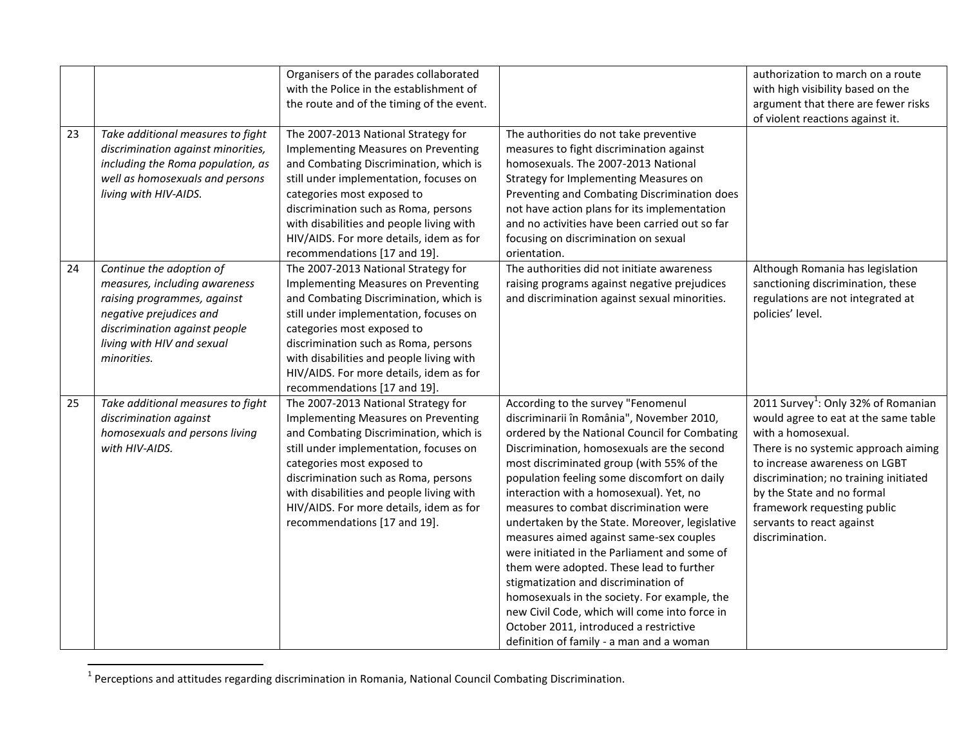|    |                                                                                                                                                                                                   | Organisers of the parades collaborated<br>with the Police in the establishment of<br>the route and of the timing of the event.                                                                                                                                                                                                                                     |                                                                                                                                                                                                                                                                                                                                                                                                                                                                                                                                                                                                                                                                                                                                                                                         | authorization to march on a route<br>with high visibility based on the<br>argument that there are fewer risks<br>of violent reactions against it.                                                                                                                                                                                            |
|----|---------------------------------------------------------------------------------------------------------------------------------------------------------------------------------------------------|--------------------------------------------------------------------------------------------------------------------------------------------------------------------------------------------------------------------------------------------------------------------------------------------------------------------------------------------------------------------|-----------------------------------------------------------------------------------------------------------------------------------------------------------------------------------------------------------------------------------------------------------------------------------------------------------------------------------------------------------------------------------------------------------------------------------------------------------------------------------------------------------------------------------------------------------------------------------------------------------------------------------------------------------------------------------------------------------------------------------------------------------------------------------------|----------------------------------------------------------------------------------------------------------------------------------------------------------------------------------------------------------------------------------------------------------------------------------------------------------------------------------------------|
| 23 | Take additional measures to fight<br>discrimination against minorities,<br>including the Roma population, as<br>well as homosexuals and persons<br>living with HIV-AIDS.                          | The 2007-2013 National Strategy for<br><b>Implementing Measures on Preventing</b><br>and Combating Discrimination, which is<br>still under implementation, focuses on<br>categories most exposed to<br>discrimination such as Roma, persons<br>with disabilities and people living with<br>HIV/AIDS. For more details, idem as for<br>recommendations [17 and 19]. | The authorities do not take preventive<br>measures to fight discrimination against<br>homosexuals. The 2007-2013 National<br>Strategy for Implementing Measures on<br>Preventing and Combating Discrimination does<br>not have action plans for its implementation<br>and no activities have been carried out so far<br>focusing on discrimination on sexual<br>orientation.                                                                                                                                                                                                                                                                                                                                                                                                            |                                                                                                                                                                                                                                                                                                                                              |
| 24 | Continue the adoption of<br>measures, including awareness<br>raising programmes, against<br>negative prejudices and<br>discrimination against people<br>living with HIV and sexual<br>minorities. | The 2007-2013 National Strategy for<br><b>Implementing Measures on Preventing</b><br>and Combating Discrimination, which is<br>still under implementation, focuses on<br>categories most exposed to<br>discrimination such as Roma, persons<br>with disabilities and people living with<br>HIV/AIDS. For more details, idem as for<br>recommendations [17 and 19]. | The authorities did not initiate awareness<br>raising programs against negative prejudices<br>and discrimination against sexual minorities.                                                                                                                                                                                                                                                                                                                                                                                                                                                                                                                                                                                                                                             | Although Romania has legislation<br>sanctioning discrimination, these<br>regulations are not integrated at<br>policies' level.                                                                                                                                                                                                               |
| 25 | Take additional measures to fight<br>discrimination against<br>homosexuals and persons living<br>with HIV-AIDS.                                                                                   | The 2007-2013 National Strategy for<br>Implementing Measures on Preventing<br>and Combating Discrimination, which is<br>still under implementation, focuses on<br>categories most exposed to<br>discrimination such as Roma, persons<br>with disabilities and people living with<br>HIV/AIDS. For more details, idem as for<br>recommendations [17 and 19].        | According to the survey "Fenomenul<br>discriminarii în România", November 2010,<br>ordered by the National Council for Combating<br>Discrimination, homosexuals are the second<br>most discriminated group (with 55% of the<br>population feeling some discomfort on daily<br>interaction with a homosexual). Yet, no<br>measures to combat discrimination were<br>undertaken by the State. Moreover, legislative<br>measures aimed against same-sex couples<br>were initiated in the Parliament and some of<br>them were adopted. These lead to further<br>stigmatization and discrimination of<br>homosexuals in the society. For example, the<br>new Civil Code, which will come into force in<br>October 2011, introduced a restrictive<br>definition of family - a man and a woman | 2011 Survey <sup>1</sup> : Only 32% of Romanian<br>would agree to eat at the same table<br>with a homosexual.<br>There is no systemic approach aiming<br>to increase awareness on LGBT<br>discrimination; no training initiated<br>by the State and no formal<br>framework requesting public<br>servants to react against<br>discrimination. |

<sup>&</sup>lt;u>-</u><br><sup>1</sup> Perceptions and attitudes regarding discrimination in Romania, National Council Combating Discrimination.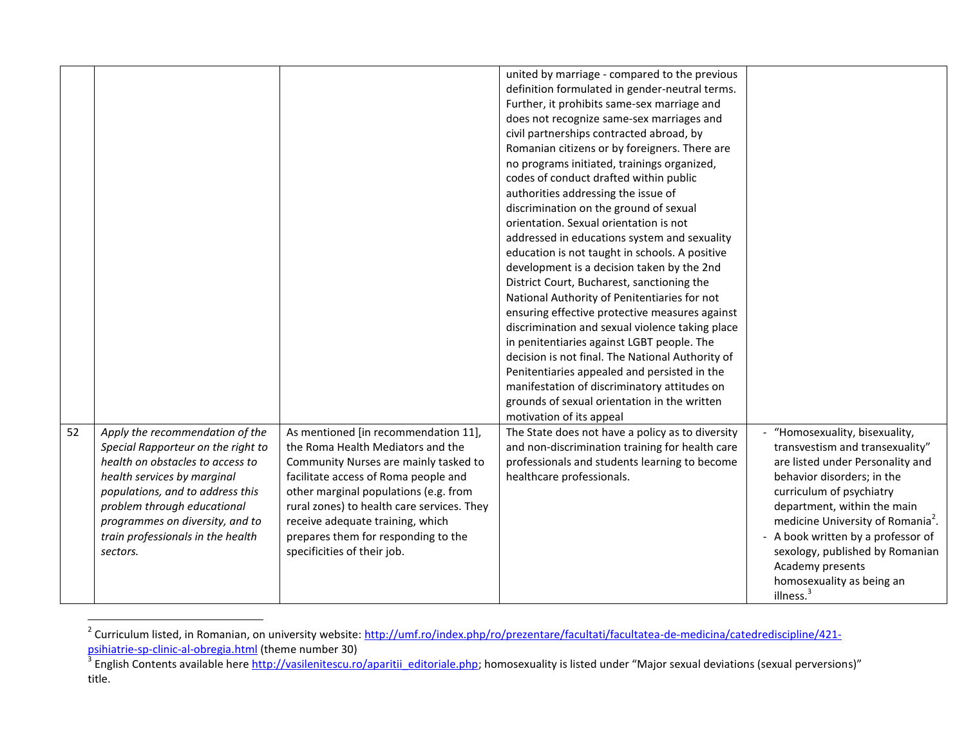|    |                                    |                                            | united by marriage - compared to the previous    |                                               |
|----|------------------------------------|--------------------------------------------|--------------------------------------------------|-----------------------------------------------|
|    |                                    |                                            | definition formulated in gender-neutral terms.   |                                               |
|    |                                    |                                            | Further, it prohibits same-sex marriage and      |                                               |
|    |                                    |                                            | does not recognize same-sex marriages and        |                                               |
|    |                                    |                                            | civil partnerships contracted abroad, by         |                                               |
|    |                                    |                                            | Romanian citizens or by foreigners. There are    |                                               |
|    |                                    |                                            | no programs initiated, trainings organized,      |                                               |
|    |                                    |                                            | codes of conduct drafted within public           |                                               |
|    |                                    |                                            | authorities addressing the issue of              |                                               |
|    |                                    |                                            | discrimination on the ground of sexual           |                                               |
|    |                                    |                                            | orientation. Sexual orientation is not           |                                               |
|    |                                    |                                            | addressed in educations system and sexuality     |                                               |
|    |                                    |                                            | education is not taught in schools. A positive   |                                               |
|    |                                    |                                            | development is a decision taken by the 2nd       |                                               |
|    |                                    |                                            | District Court, Bucharest, sanctioning the       |                                               |
|    |                                    |                                            | National Authority of Penitentiaries for not     |                                               |
|    |                                    |                                            | ensuring effective protective measures against   |                                               |
|    |                                    |                                            | discrimination and sexual violence taking place  |                                               |
|    |                                    |                                            | in penitentiaries against LGBT people. The       |                                               |
|    |                                    |                                            | decision is not final. The National Authority of |                                               |
|    |                                    |                                            | Penitentiaries appealed and persisted in the     |                                               |
|    |                                    |                                            | manifestation of discriminatory attitudes on     |                                               |
|    |                                    |                                            | grounds of sexual orientation in the written     |                                               |
|    |                                    |                                            | motivation of its appeal                         |                                               |
| 52 | Apply the recommendation of the    | As mentioned [in recommendation 11],       | The State does not have a policy as to diversity | "Homosexuality, bisexuality,                  |
|    | Special Rapporteur on the right to | the Roma Health Mediators and the          | and non-discrimination training for health care  | transvestism and transexuality"               |
|    | health on obstacles to access to   | Community Nurses are mainly tasked to      | professionals and students learning to become    | are listed under Personality and              |
|    | health services by marginal        | facilitate access of Roma people and       | healthcare professionals.                        | behavior disorders; in the                    |
|    | populations, and to address this   | other marginal populations (e.g. from      |                                                  | curriculum of psychiatry                      |
|    | problem through educational        | rural zones) to health care services. They |                                                  | department, within the main                   |
|    | programmes on diversity, and to    | receive adequate training, which           |                                                  | medicine University of Romania <sup>2</sup> . |
|    | train professionals in the health  | prepares them for responding to the        |                                                  | A book written by a professor of              |
|    | sectors.                           | specificities of their job.                |                                                  | sexology, published by Romanian               |
|    |                                    |                                            |                                                  | Academy presents                              |
|    |                                    |                                            |                                                  | homosexuality as being an                     |
|    |                                    |                                            |                                                  | illness. <sup>3</sup>                         |

<sup>&</sup>lt;u>2</u><br>Z Curriculum listed, in Romanian, on university website: <u>http://umf.ro/index.php/ro/prezentare/facultati/facultatea-de-medicina/catedrediscipline/421-</u>

<sup>&</sup>lt;mark>[psihiatrie-sp-clinic-al-obregia.html](http://umf.ro/index.php/ro/prezentare/facultati/facultatea-de-medicina/catedrediscipline/421-psihiatrie-sp-clinic-al-obregia.html)</mark> (theme number 30)<br><sup>3</sup> English Contents available here <u>http://vasilenitescu.ro/aparitii\_editoriale.php</u>; homosexuality is listed under "Major sexual deviations (sexual perversions)" title.